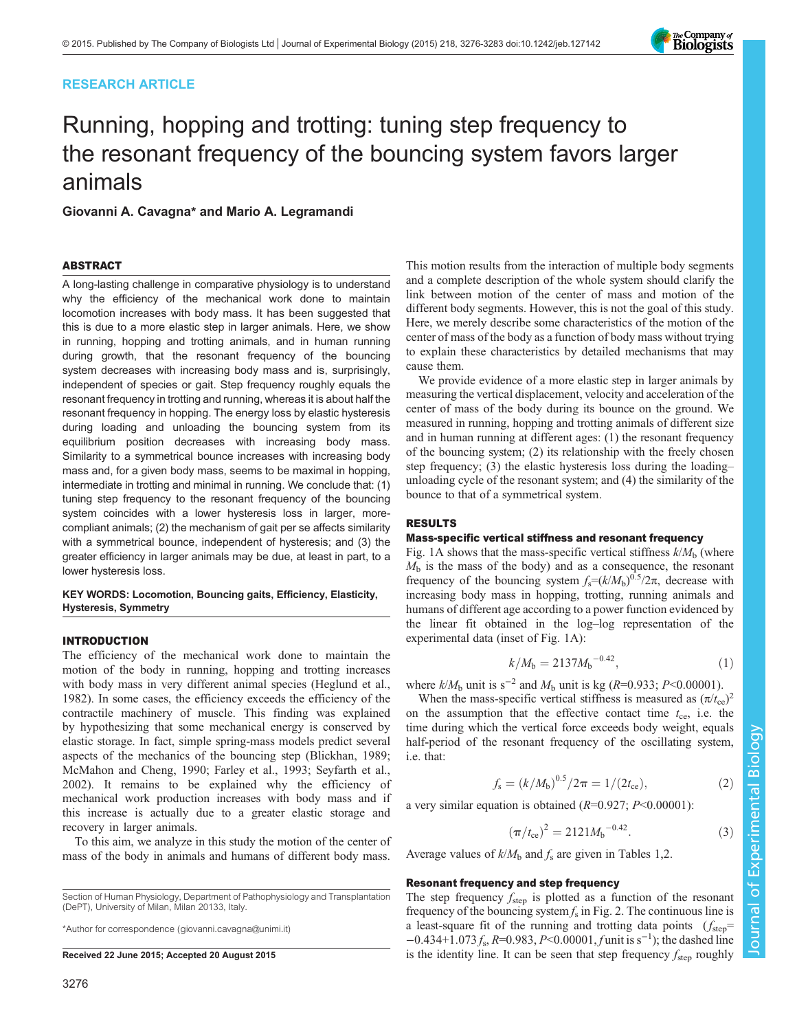# RESEARCH ARTICLE

# Running, hopping and trotting: tuning step frequency to the resonant frequency of the bouncing system favors larger animals

Giovanni A. Cavagna\* and Mario A. Legramandi

# ABSTRACT

A long-lasting challenge in comparative physiology is to understand why the efficiency of the mechanical work done to maintain locomotion increases with body mass. It has been suggested that this is due to a more elastic step in larger animals. Here, we show in running, hopping and trotting animals, and in human running during growth, that the resonant frequency of the bouncing system decreases with increasing body mass and is, surprisingly, independent of species or gait. Step frequency roughly equals the resonant frequency in trotting and running, whereas it is about half the resonant frequency in hopping. The energy loss by elastic hysteresis during loading and unloading the bouncing system from its equilibrium position decreases with increasing body mass. Similarity to a symmetrical bounce increases with increasing body mass and, for a given body mass, seems to be maximal in hopping, intermediate in trotting and minimal in running. We conclude that: (1) tuning step frequency to the resonant frequency of the bouncing system coincides with a lower hysteresis loss in larger, morecompliant animals; (2) the mechanism of gait per se affects similarity with a symmetrical bounce, independent of hysteresis; and (3) the greater efficiency in larger animals may be due, at least in part, to a lower hysteresis loss.

## KEY WORDS: Locomotion, Bouncing gaits, Efficiency, Elasticity, Hysteresis, Symmetry

## INTRODUCTION

The efficiency of the mechanical work done to maintain the motion of the body in running, hopping and trotting increases with body mass in very different animal species [\(Heglund et al.,](#page-7-0) [1982](#page-7-0)). In some cases, the efficiency exceeds the efficiency of the contractile machinery of muscle. This finding was explained by hypothesizing that some mechanical energy is conserved by elastic storage. In fact, simple spring-mass models predict several aspects of the mechanics of the bouncing step ([Blickhan, 1989](#page-6-0); [McMahon and Cheng, 1990](#page-7-0); [Farley et al., 1993](#page-7-0); [Seyfarth et al.,](#page-7-0) [2002](#page-7-0)). It remains to be explained why the efficiency of mechanical work production increases with body mass and if this increase is actually due to a greater elastic storage and recovery in larger animals.

To this aim, we analyze in this study the motion of the center of mass of the body in animals and humans of different body mass.

Section of Human Physiology, Department of Pathophysiology and Transplantation (DePT), University of Milan, Milan 20133, Italy.

\*Author for correspondence [\(giovanni.cavagna@unimi.it](mailto:giovanni.cavagna@unimi.it))

This motion results from the interaction of multiple body segments and a complete description of the whole system should clarify the link between motion of the center of mass and motion of the different body segments. However, this is not the goal of this study. Here, we merely describe some characteristics of the motion of the center of mass of the body as a function of body mass without trying to explain these characteristics by detailed mechanisms that may cause them.

We provide evidence of a more elastic step in larger animals by measuring the vertical displacement, velocity and acceleration of the center of mass of the body during its bounce on the ground. We measured in running, hopping and trotting animals of different size and in human running at different ages: (1) the resonant frequency of the bouncing system; (2) its relationship with the freely chosen step frequency; (3) the elastic hysteresis loss during the loading– unloading cycle of the resonant system; and (4) the similarity of the bounce to that of a symmetrical system.

# RESULTS

#### Mass-specific vertical stiffness and resonant frequency

[Fig. 1](#page-1-0)A shows that the mass-specific vertical stiffness  $k/M<sub>b</sub>$  (where  $M<sub>b</sub>$  is the mass of the body) and as a consequence, the resonant frequency of the bouncing system  $f_s = (k/M_b)^{0.5}/2\pi$ , decrease with increasing body mass in hopping, trotting, running animals and humans of different age according to a power function evidenced by the linear fit obtained in the log–log representation of the experimental data (inset of [Fig. 1A](#page-1-0)):

$$
k/M_{\rm b} = 2137M_{\rm b}^{-0.42},\tag{1}
$$

where  $k/M_b$  unit is s<sup>-2</sup> and  $M_b$  unit is kg (R=0.933; P<0.00001).

When the mass-specific vertical stiffness is measured as  $(\pi / t_{ce})^2$ on the assumption that the effective contact time  $t_{ce}$ , i.e. the time during which the vertical force exceeds body weight, equals half-period of the resonant frequency of the oscillating system, i.e. that:

$$
f_{\rm s} = (k/M_{\rm b})^{0.5}/2\pi = 1/(2t_{\rm ce}),\tag{2}
$$

a very similar equation is obtained  $(R=0.927; P<0.00001)$ :

$$
\left(\pi/t_{\rm ce}\right)^2 = 2121 M_{\rm b}^{-0.42}.\tag{3}
$$

Average values of  $k/M_b$  and  $f_s$  are given in [Tables 1,](#page-1-0)[2.](#page-2-0)

## Resonant frequency and step frequency

The step frequency  $f_{step}$  is plotted as a function of the resonant frequency of the bouncing system  $f_s$  in [Fig. 2](#page-2-0). The continuous line is a least-square fit of the running and trotting data points  $(f_{step}$ =  $-0.434+1.073 f_s$ , R=0.983, P<0.00001, f unit is s<sup>-1</sup>); the dashed line **Received 22 June 2015; Accepted 20 August 2015** step frequency f<sub>step</sub> roughly is the identity line. It can be seen that step frequency f<sub>step</sub> roughly

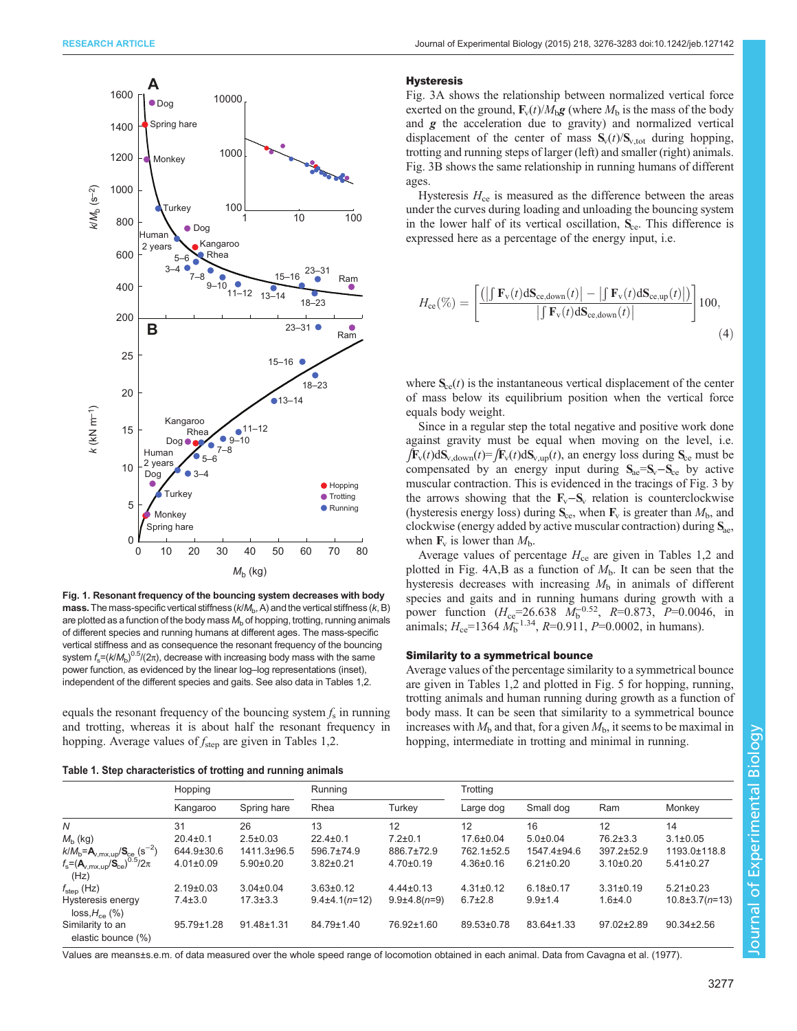<span id="page-1-0"></span>

Fig. 1. Resonant frequency of the bouncing system decreases with body mass. The mass-specific vertical stiffness  $(k/M_b, A)$  and the vertical stiffness  $(k, B)$ are plotted as a function of the body mass  $M<sub>b</sub>$  of hopping, trotting, running animals of different species and running humans at different ages. The mass-specific vertical stiffness and as consequence the resonant frequency of the bouncing system  $\mathit{f}_{\mathrm{s}}\text{=}\left(\mathit{k}/\mathit{M}_{\mathrm{b}}\right)^{0.5}\!/\!\left(2\pi\right)$ , decrease with increasing body mass with the same power function, as evidenced by the linear log–log representations (inset), independent of the different species and gaits. See also data in Tables 1[,2.](#page-2-0)

equals the resonant frequency of the bouncing system  $f_s$  in running and trotting, whereas it is about half the resonant frequency in hopping. Average values of  $f_{\text{step}}$  are given in Tables 1[,2](#page-2-0).

Table 1. Step characteristics of trotting and running animals

#### **Hysteresis**

[Fig. 3A](#page-3-0) shows the relationship between normalized vertical force exerted on the ground,  $\mathbf{F}_v(t)/M_h\mathbf{g}$  (where  $M_h$  is the mass of the body and  $g$  the acceleration due to gravity) and normalized vertical displacement of the center of mass  $S_v(t)/S_{v,\text{tot}}$  during hopping, trotting and running steps of larger (left) and smaller (right) animals. [Fig. 3B](#page-3-0) shows the same relationship in running humans of different ages.

Hysteresis  $H_{ce}$  is measured as the difference between the areas under the curves during loading and unloading the bouncing system in the lower half of its vertical oscillation,  $S_{ce}$ . This difference is expressed here as a percentage of the energy input, i.e.

$$
H_{\rm ce}(\%) = \left[ \frac{\left( \left| \int \mathbf{F}_{\rm v}(t) \, d\mathbf{S}_{\rm ce,down}(t) \right| - \left| \int \mathbf{F}_{\rm v}(t) \, d\mathbf{S}_{\rm ce,up}(t) \right| \right)}{\left| \int \mathbf{F}_{\rm v}(t) \, d\mathbf{S}_{\rm ce,down}(t) \right|} \right] 100,
$$
\n(4)

where  $S_{ce}(t)$  is the instantaneous vertical displacement of the center of mass below its equilibrium position when the vertical force equals body weight.

Since in a regular step the total negative and positive work done against gravity must be equal when moving on the level, i.e.  $\int \mathbf{F}_v(t) dS_{v, d{\text{own}}}(t) = \int \mathbf{F}_v(t) dS_{v, \text{up}}(t)$ , an energy loss during  $S_{ce}$  must be compensated by an energy input during  $S_{ae} = S_v - S_{ce}$  by active muscular contraction. This is evidenced in the tracings of [Fig. 3](#page-3-0) by the arrows showing that the  $\mathbf{F}_{v} - \mathbf{S}_{v}$  relation is counterclockwise (hysteresis energy loss) during  $S_{ce}$ , when  $F_v$  is greater than  $M_b$ , and clockwise (energy added by active muscular contraction) during  $S_{\text{ae}}$ , when  $\mathbf{F}_v$  is lower than  $M_h$ .

Average values of percentage  $H_{ce}$  are given in Tables 1,[2](#page-2-0) and plotted in [Fig. 4A](#page-4-0),B as a function of  $M<sub>b</sub>$ . It can be seen that the hysteresis decreases with increasing  $M<sub>b</sub>$  in animals of different species and gaits and in running humans during growth with a power function  $(H_{ce} = 26.638 \text{ } M_b^{-0.52}, R = 0.873, P = 0.0046, \text{ in}$ animals;  $H_{ce}$ =1364  $M_b^{-1.34}$ ,  $R$ =0.911,  $P$ =0.0002, in humans).

# Similarity to a symmetrical bounce

Average values of the percentage similarity to a symmetrical bounce are given in Tables 1[,2](#page-2-0) and plotted in [Fig. 5](#page-4-0) for hopping, running, trotting animals and human running during growth as a function of body mass. It can be seen that similarity to a symmetrical bounce increases with  $M<sub>b</sub>$  and that, for a given  $M<sub>b</sub>$ , it seems to be maximal in hopping, intermediate in trotting and minimal in running.

| <b>TANIVE I</b> . Olop onaraolonogoo of trolling and ranning animalo                                          |                 |                  |                   |                    |                 |                 |                 |                      |  |  |
|---------------------------------------------------------------------------------------------------------------|-----------------|------------------|-------------------|--------------------|-----------------|-----------------|-----------------|----------------------|--|--|
|                                                                                                               | Hopping         |                  | Running           |                    | Trotting        |                 |                 |                      |  |  |
|                                                                                                               | Kangaroo        | Spring hare      | Rhea              | Turkey             | Large dog       | Small dog       | Ram             | Monkey               |  |  |
| N                                                                                                             | 31              | 26               | 13                | 12                 | 12              | 16              | 12              | 14                   |  |  |
| $M_h$ (kg)                                                                                                    | $20.4 \pm 0.1$  | $2.5 \pm 0.03$   | $22.4 \pm 0.1$    | $7.2 \pm 0.1$      | $17.6 \pm 0.04$ | $5.0 \pm 0.04$  | $76.2 \pm 3.3$  | $3.1 \pm 0.05$       |  |  |
| $k/M_{\rm b} = A_{v,\text{mx,up}} / S_{\text{ce}} (s^{-2})$                                                   | 644.9±30.6      | 1411.3±96.5      | 596.7±74.9        | 886.7±72.9         | 762.1±52.5      | 1547.4±94.6     | 397.2±52.9      | 1193.0±118.8         |  |  |
| $f_\textrm{s}$ = ( $\mathbf{A}_{v,\textrm{mx,up}}/\mathbf{S}_{\textrm{ce}}$ ) <sup>0.5</sup> /2 $\pi$<br>(Hz) | $4.01 \pm 0.09$ | $5.90 \pm 0.20$  | $3.82 \pm 0.21$   | $4.70 \pm 0.19$    | $4.36 \pm 0.16$ | $6.21 \pm 0.20$ | $3.10\pm0.20$   | $5.41 \pm 0.27$      |  |  |
| $f_{\text{step}}$ (Hz)                                                                                        | $2.19 \pm 0.03$ | $3.04 \pm 0.04$  | $3.63 \pm 0.12$   | $4.44 \pm 0.13$    | $4.31 \pm 0.12$ | $6.18 \pm 0.17$ | $3.31 \pm 0.19$ | $5.21 \pm 0.23$      |  |  |
| Hysteresis energy<br>$loss, H_{ce}$ (%)                                                                       | $7.4 \pm 3.0$   | $17.3 \pm 3.3$   | $9.4\pm4.1(n=12)$ | $9.9 \pm 4.8(n=9)$ | $6.7 \pm 2.8$   | $9.9 + 1.4$     | $1.6 + 4.0$     | $10.8 \pm 3.7(n=13)$ |  |  |
| Similarity to an<br>elastic bounce (%)                                                                        | 95.79±1.28      | $91.48 \pm 1.31$ | 84.79±1.40        | 76.92±1.60         | 89.53±0.78      | 83.64±1.33      | 97.02±2.89      | $90.34 \pm 2.56$     |  |  |

Values are means±s.e.m. of data measured over the whole speed range of locomotion obtained in each animal. Data from [Cavagna et al. \(1977\)](#page-7-0).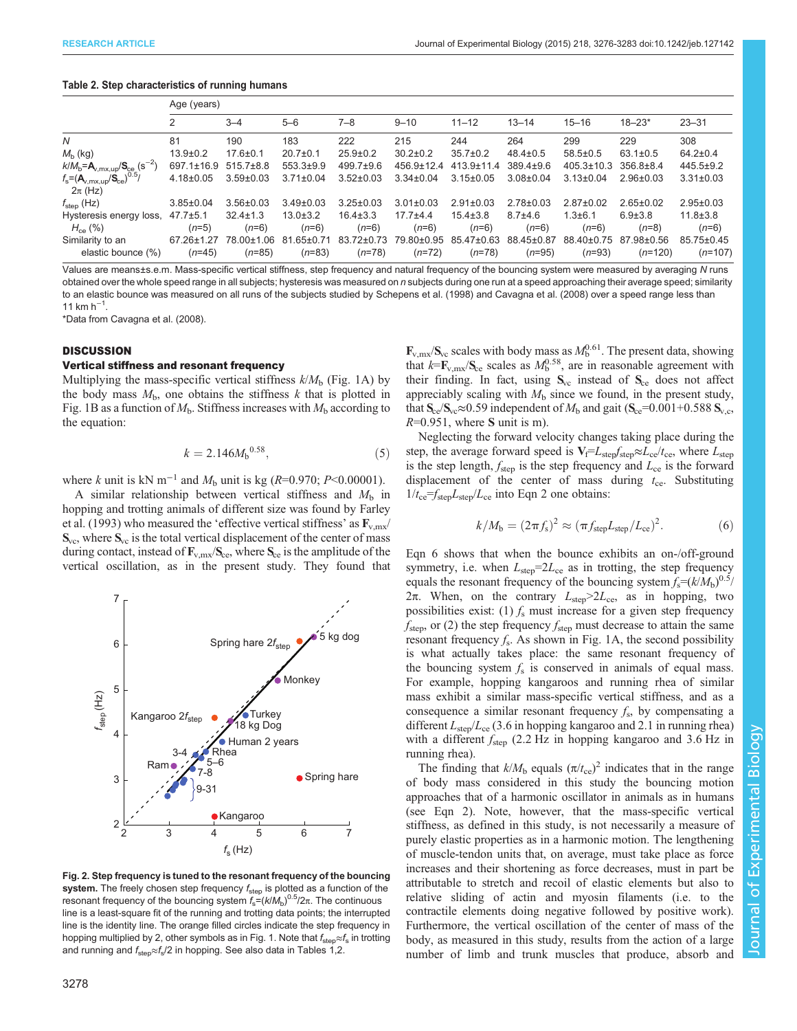#### <span id="page-2-0"></span>Table 2. Step characteristics of running humans

|                                                                      | Age (years)                  |                           |                              |                           |                         |                           |                        |                        |                          |                           |
|----------------------------------------------------------------------|------------------------------|---------------------------|------------------------------|---------------------------|-------------------------|---------------------------|------------------------|------------------------|--------------------------|---------------------------|
|                                                                      | 2                            | $3 - 4$                   | $5 - 6$                      | $7 - 8$                   | $9 - 10$                | $11 - 12$                 | $13 - 14$              | $15 - 16$              | $18 - 23*$               | $23 - 31$                 |
| N                                                                    | 81                           | 190                       | 183                          | 222                       | 215                     | 244                       | 264                    | 299                    | 229                      | 308                       |
| $M_{\rm b}$ (kg)                                                     | $13.9 \pm 0.2$               | $17.6 \pm 0.1$            | $20.7 \pm 0.1$               | $25.9 \pm 0.2$            | $30.2 \pm 0.2$          | $35.7 \pm 0.2$            | $48.4 \pm 0.5$         | $58.5 \pm 0.5$         | $63.1 \pm 0.5$           | $64.2 \pm 0.4$            |
| $k/M_{\rm b} = A_{v, \text{mx, up}} / S_{\text{ce}} (\text{s}^{-2})$ | $697.1 \pm 16.9$             | $515.7\pm8.8$             | $553.3 \pm 9.9$              | 499.7±9.6                 | $456.9 \pm 12.4$        | $413.9 \pm 11.4$          | $389.4 \pm 9.6$        | $405.3 \pm 10.3$       | $356.8 \pm 8.4$          | $445.5 \pm 9.2$           |
| $\sqrt{0.5}$<br>$f_s = (A_{v,mx,up}/S_{ce})$<br>$2\pi$ (Hz)          | $4.18 \pm 0.05$              | $3.59 \pm 0.03$           | $3.71 \pm 0.04$              | $3.52 \pm 0.03$           | $3.34 \pm 0.04$         | $3.15 \pm 0.05$           | $3.08 \pm 0.04$        | $3.13 \pm 0.04$        | $2.96 \pm 0.03$          | $3.31 \pm 0.03$           |
| $f_{\text{step}}$ (Hz)                                               | $3.85 \pm 0.04$              | $3.56 \pm 0.03$           | $3.49 \pm 0.03$              | $3.25 \pm 0.03$           | $3.01 \pm 0.03$         | $2.91 \pm 0.03$           | $2.78 \pm 0.03$        | $2.87 \pm 0.02$        | $2.65 \pm 0.02$          | $2.95 \pm 0.03$           |
| Hysteresis energy loss,<br>$H_{ce}$ (%)                              | $47.7 \pm 5.1$<br>$(n=5)$    | $32.4 \pm 1.3$<br>$(n=6)$ | $13.0 \pm 3.2$<br>$(n=6)$    | $16.4 \pm 3.3$<br>$(n=6)$ | $17.7 + 4.4$<br>$(n=6)$ | $15.4 \pm 3.8$<br>$(n=6)$ | $8.7 + 4.6$<br>$(n=6)$ | $1.3 + 6.1$<br>$(n=6)$ | $6.9 \pm 3.8$<br>$(n=8)$ | $11.8 \pm 3.8$<br>$(n=6)$ |
| Similarity to an<br>elastic bounce (%)                               | $67.26 \pm 1.27$<br>$(n=45)$ | 78.00±1.06<br>$(n=85)$    | $81.65 \pm 0.71$<br>$(n=83)$ | 83.72±0.73<br>$(n=78)$    | 79.80±0.95<br>$(n=72)$  | 85.47±0.63<br>$(n=78)$    | 88.45±0.87<br>$(n=95)$ | 88.40±0.75<br>$(n=93)$ | 87.98±0.56<br>$(n=120)$  | 85.75±0.45<br>$(n=107)$   |

Values are means±s.e.m. Mass-specific vertical stiffness, step frequency and natural frequency of the bouncing system were measured by averaging N runs obtained over the whole speed range in all subjects; hysteresis was measured on n subjects during one run at a speed approaching their average speed; similarity to an elastic bounce was measured on all runs of the subjects studied by [Schepens et al. \(1998\)](#page-7-0) and [Cavagna et al. \(2008\)](#page-7-0) over a speed range less than 11 km  $h^{-1}$ .

\*Data from [Cavagna et al. \(2008\).](#page-7-0)

# **DISCUSSION**

## Vertical stiffness and resonant frequency

Multiplying the mass-specific vertical stiffness  $k/M_b$  ([Fig. 1](#page-1-0)A) by the body mass  $M<sub>b</sub>$ , one obtains the stiffness k that is plotted in [Fig. 1B](#page-1-0) as a function of  $M<sub>b</sub>$ . Stiffness increases with  $M<sub>b</sub>$  according to the equation:

$$
k = 2.146M_{b}^{0.58},\tag{5}
$$

where k unit is kN m<sup>-1</sup> and  $M<sub>b</sub>$  unit is kg (R=0.970; P<0.00001).

A similar relationship between vertical stiffness and  $M<sub>b</sub>$  in hopping and trotting animals of different size was found by [Farley](#page-7-0) [et al. \(1993\)](#page-7-0) who measured the 'effective vertical stiffness' as  $\mathbf{F}_{v,mx}$  $S_{\text{vc}}$ , where  $S_{\text{vc}}$  is the total vertical displacement of the center of mass during contact, instead of  $\mathbf{F}_{v,mx}/\mathbf{S}_{ce}$ , where  $\mathbf{S}_{ce}$  is the amplitude of the vertical oscillation, as in the present study. They found that



Fig. 2. Step frequency is tuned to the resonant frequency of the bouncing system. The freely chosen step frequency  $f_{step}$  is plotted as a function of the resonant frequency of the bouncing system  $f_s = (k/M_b)^{0.5}/2\pi$ . The continuous line is a least-square fit of the running and trotting data points; the interrupted line is the identity line. The orange filled circles indicate the step frequency in hopping multiplied by 2, other symbols as in [Fig. 1](#page-1-0). Note that  $f_{\text{step}} \approx f_{\text{s}}$  in trotting and running and  $f_{\text{step}} \approx f_{\text{s}}/2$  in hopping. See also data in [Tables 1](#page-1-0),2.

 $\mathbf{F}_{v,mx}/\mathbf{S}_{ve}$  scales with body mass as  $M_b^{0.61}$ . The present data, showing that  $k = \mathbf{F}_{v, \text{mx}} / \mathbf{S}_{ce}$  scales as  $M_b^{0.58}$ , are in reasonable agreement with their finding. In fact, using  $S_{vc}$  instead of  $S_{ce}$  does not affect appreciably scaling with  $M<sub>b</sub>$  since we found, in the present study, that  $S_{ce}/S_{vc} \approx 0.59$  independent of  $M_b$  and gait ( $S_{ce}=0.001+0.588$   $S_{v,c}$ ,  $R=0.951$ , where S unit is m).

Neglecting the forward velocity changes taking place during the step, the average forward speed is  $V_f = L_{step} f_{step} \approx L_{ce} / t_{ce}$ , where  $L_{step}$ is the step length,  $f_{\text{step}}$  is the step frequency and  $L_{ce}$  is the forward displacement of the center of mass during  $t_{ce}$ . Substituting  $1/t_{ce} = f_{step}L_{step}/L_{ce}$  into Eqn 2 one obtains:

$$
k/M_{\rm b} = (2\pi f_{\rm s})^2 \approx (\pi f_{\rm step} L_{\rm step}/L_{\rm ce})^2.
$$
 (6)

Eqn 6 shows that when the bounce exhibits an on-/off-ground symmetry, i.e. when  $L_{\rm step} = 2L_{\rm ce}$  as in trotting, the step frequency equals the resonant frequency of the bouncing system  $f_s = (k/M_b)^{0.5}/$ 2π. When, on the contrary  $L_{step} > 2L_{ce}$ , as in hopping, two possibilities exist: (1)  $f_s$  must increase for a given step frequency  $f_{\text{step}}$ , or (2) the step frequency  $f_{\text{step}}$  must decrease to attain the same resonant frequency  $f_s$ . As shown in [Fig. 1A](#page-1-0), the second possibility is what actually takes place: the same resonant frequency of the bouncing system  $f_s$  is conserved in animals of equal mass. For example, hopping kangaroos and running rhea of similar mass exhibit a similar mass-specific vertical stiffness, and as a consequence a similar resonant frequency  $f_s$ , by compensating a different  $L_{\rm step}/L_{\rm ce}$  (3.6 in hopping kangaroo and 2.1 in running rhea) with a different  $f_{\text{step}}$  (2.2 Hz in hopping kangaroo and 3.6 Hz in running rhea).

The finding that  $k/M_b$  equals  $(\pi/t_{ce})^2$  indicates that in the range of body mass considered in this study the bouncing motion approaches that of a harmonic oscillator in animals as in humans (see Eqn 2). Note, however, that the mass-specific vertical stiffness, as defined in this study, is not necessarily a measure of purely elastic properties as in a harmonic motion. The lengthening of muscle-tendon units that, on average, must take place as force increases and their shortening as force decreases, must in part be attributable to stretch and recoil of elastic elements but also to relative sliding of actin and myosin filaments (i.e. to the contractile elements doing negative followed by positive work). Furthermore, the vertical oscillation of the center of mass of the body, as measured in this study, results from the action of a large number of limb and trunk muscles that produce, absorb and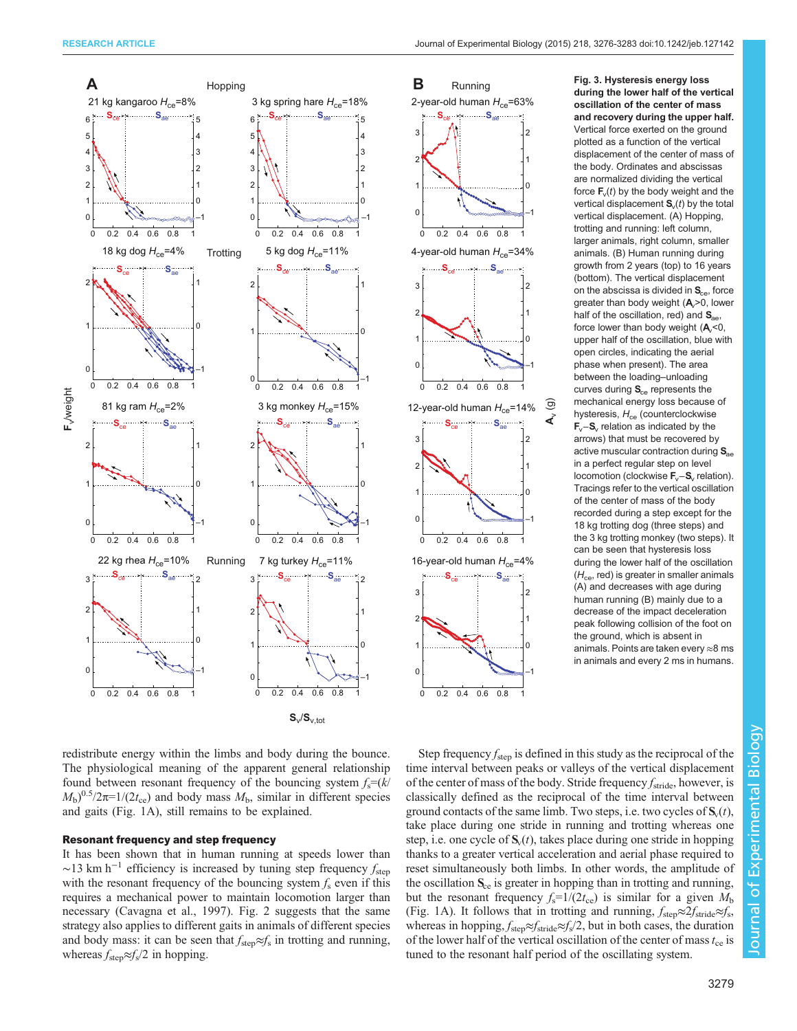<span id="page-3-0"></span>



during the lower half of the vertical oscillation of the center of mass and recovery during the upper half. Vertical force exerted on the ground plotted as a function of the vertical displacement of the center of mass of the body. Ordinates and abscissas are normalized dividing the vertical force  $F_v(t)$  by the body weight and the vertical displacement  $S<sub>v</sub>(t)$  by the total vertical displacement. (A) Hopping, trotting and running: left column, larger animals, right column, smaller animals. (B) Human running during growth from 2 years (top) to 16 years (bottom). The vertical displacement on the abscissa is divided in  $S_{ce}$ , force greater than body weight  $(A<sub>c</sub>>0,$  lower half of the oscillation, red) and  $S_{ae}$ , force lower than body weight  $(A, < 0,$ upper half of the oscillation, blue with open circles, indicating the aerial phase when present). The area between the loading–unloading curves during  $S_{ce}$  represents the mechanical energy loss because of hysteresis,  $H_{ce}$  (counterclockwise Fv−S<sup>v</sup> relation as indicated by the arrows) that must be recovered by active muscular contraction during  $S_{\text{ae}}$ in a perfect regular step on level locomotion (clockwise  $\mathbf{F}_{\mathsf{v}}-\mathbf{S}_{\mathsf{v}}$  relation). Tracings refer to the vertical oscillation of the center of mass of the body recorded during a step except for the 18 kg trotting dog (three steps) and the 3 kg trotting monkey (two steps). It can be seen that hysteresis loss during the lower half of the oscillation  $(H<sub>ce</sub>, red)$  is greater in smaller animals (A) and decreases with age during human running (B) mainly due to a decrease of the impact deceleration peak following collision of the foot on the ground, which is absent in animals. Points are taken every ≈8 ms in animals and every 2 ms in humans.

redistribute energy within the limbs and body during the bounce. The physiological meaning of the apparent general relationship found between resonant frequency of the bouncing system  $f_s = (k/2)$  $M_{\rm b}$ <sup>0.5</sup>/2 $\pi$ =1/(2t<sub>ce</sub>) and body mass  $M_{\rm b}$ , similar in different species and gaits [\(Fig. 1](#page-1-0)A), still remains to be explained.

## Resonant frequency and step frequency

It has been shown that in human running at speeds lower than  $\sim$ 13 km h<sup>-1</sup> efficiency is increased by tuning step frequency  $f_{\rm{sten}}$ with the resonant frequency of the bouncing system  $f_s$  even if this requires a mechanical power to maintain locomotion larger than necessary ([Cavagna et al., 1997](#page-7-0)). [Fig. 2](#page-2-0) suggests that the same strategy also applies to different gaits in animals of different species and body mass: it can be seen that  $f_{step} \approx f_s$  in trotting and running, whereas  $f_{\text{step}} \approx f_{\text{s}}/2$  in hopping.

Step frequency  $f_{\text{step}}$  is defined in this study as the reciprocal of the time interval between peaks or valleys of the vertical displacement of the center of mass of the body. Stride frequency  $f_{\text{stride}}$ , however, is classically defined as the reciprocal of the time interval between ground contacts of the same limb. Two steps, i.e. two cycles of  $S_v(t)$ , take place during one stride in running and trotting whereas one step, i.e. one cycle of  $S_v(t)$ , takes place during one stride in hopping thanks to a greater vertical acceleration and aerial phase required to reset simultaneously both limbs. In other words, the amplitude of the oscillation  $S_{ce}$  is greater in hopping than in trotting and running, but the resonant frequency  $f_s=1/(2t_{ce})$  is similar for a given  $M_b$ [\(Fig. 1](#page-1-0)A). It follows that in trotting and running,  $f_{\text{step}} \approx 2 f_{\text{stride}} \approx f_{\text{s}}$ , whereas in hopping,  $f_{\text{step}} \approx f_{\text{stride}} \approx f_s/2$ , but in both cases, the duration of the lower half of the vertical oscillation of the center of mass  $t_{ce}$  is tuned to the resonant half period of the oscillating system.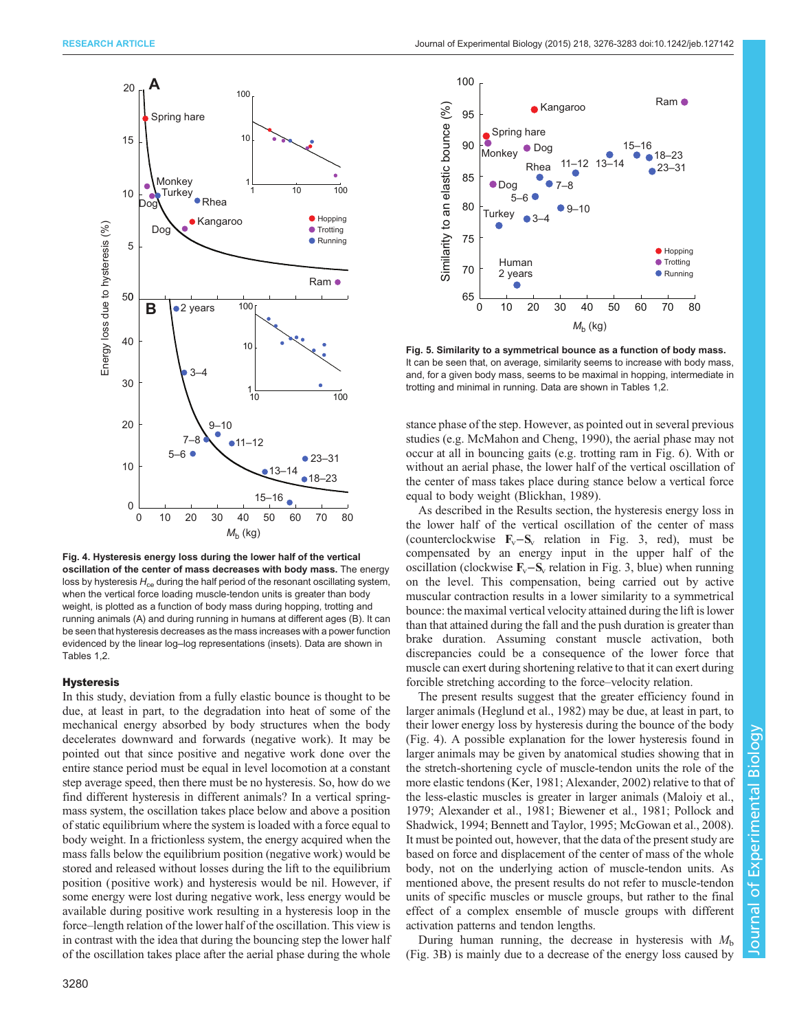<span id="page-4-0"></span>

Fig. 4. Hysteresis energy loss during the lower half of the vertical oscillation of the center of mass decreases with body mass. The energy loss by hysteresis  $H_{ce}$  during the half period of the resonant oscillating system, when the vertical force loading muscle-tendon units is greater than body weight, is plotted as a function of body mass during hopping, trotting and running animals (A) and during running in humans at different ages (B). It can be seen that hysteresis decreases as the mass increases with a power function evidenced by the linear log–log representations (insets). Data are shown in [Tables 1](#page-1-0)[,2.](#page-2-0)

## **Hysteresis**

In this study, deviation from a fully elastic bounce is thought to be due, at least in part, to the degradation into heat of some of the mechanical energy absorbed by body structures when the body decelerates downward and forwards (negative work). It may be pointed out that since positive and negative work done over the entire stance period must be equal in level locomotion at a constant step average speed, then there must be no hysteresis. So, how do we find different hysteresis in different animals? In a vertical springmass system, the oscillation takes place below and above a position of static equilibrium where the system is loaded with a force equal to body weight. In a frictionless system, the energy acquired when the mass falls below the equilibrium position (negative work) would be stored and released without losses during the lift to the equilibrium position ( positive work) and hysteresis would be nil. However, if some energy were lost during negative work, less energy would be available during positive work resulting in a hysteresis loop in the force–length relation of the lower half of the oscillation. This view is in contrast with the idea that during the bouncing step the lower half of the oscillation takes place after the aerial phase during the whole



Fig. 5. Similarity to a symmetrical bounce as a function of body mass. It can be seen that, on average, similarity seems to increase with body mass, and, for a given body mass, seems to be maximal in hopping, intermediate in trotting and minimal in running. Data are shown in [Tables 1,](#page-1-0)[2.](#page-2-0)

stance phase of the step. However, as pointed out in several previous studies (e.g. [McMahon and Cheng, 1990](#page-7-0)), the aerial phase may not occur at all in bouncing gaits (e.g. trotting ram in [Fig. 6](#page-5-0)). With or without an aerial phase, the lower half of the vertical oscillation of the center of mass takes place during stance below a vertical force equal to body weight [\(Blickhan, 1989\)](#page-6-0).

As described in the Results section, the hysteresis energy loss in the lower half of the vertical oscillation of the center of mass (counterclockwise  $\mathbf{F}_v - \mathbf{S}_v$  relation in [Fig. 3](#page-3-0), red), must be compensated by an energy input in the upper half of the oscillation (clockwise  $\mathbf{F}_v - \mathbf{S}_v$  relation in [Fig. 3,](#page-3-0) blue) when running on the level. This compensation, being carried out by active muscular contraction results in a lower similarity to a symmetrical bounce: the maximal vertical velocity attained during the lift is lower than that attained during the fall and the push duration is greater than brake duration. Assuming constant muscle activation, both discrepancies could be a consequence of the lower force that muscle can exert during shortening relative to that it can exert during forcible stretching according to the force–velocity relation.

The present results suggest that the greater efficiency found in larger animals [\(Heglund et al., 1982\)](#page-7-0) may be due, at least in part, to their lower energy loss by hysteresis during the bounce of the body (Fig. 4). A possible explanation for the lower hysteresis found in larger animals may be given by anatomical studies showing that in the stretch-shortening cycle of muscle-tendon units the role of the more elastic tendons ([Ker, 1981](#page-7-0); [Alexander, 2002\)](#page-6-0) relative to that of the less-elastic muscles is greater in larger animals ([Maloiy et al.,](#page-7-0) [1979;](#page-7-0) [Alexander et al., 1981](#page-6-0); [Biewener et al., 1981](#page-6-0); [Pollock and](#page-7-0) [Shadwick, 1994;](#page-7-0) [Bennett and Taylor, 1995;](#page-6-0) [McGowan et al., 2008\)](#page-7-0). It must be pointed out, however, that the data of the present study are based on force and displacement of the center of mass of the whole body, not on the underlying action of muscle-tendon units. As mentioned above, the present results do not refer to muscle-tendon units of specific muscles or muscle groups, but rather to the final effect of a complex ensemble of muscle groups with different activation patterns and tendon lengths.

During human running, the decrease in hysteresis with  $M<sub>b</sub>$ [\(Fig. 3](#page-3-0)B) is mainly due to a decrease of the energy loss caused by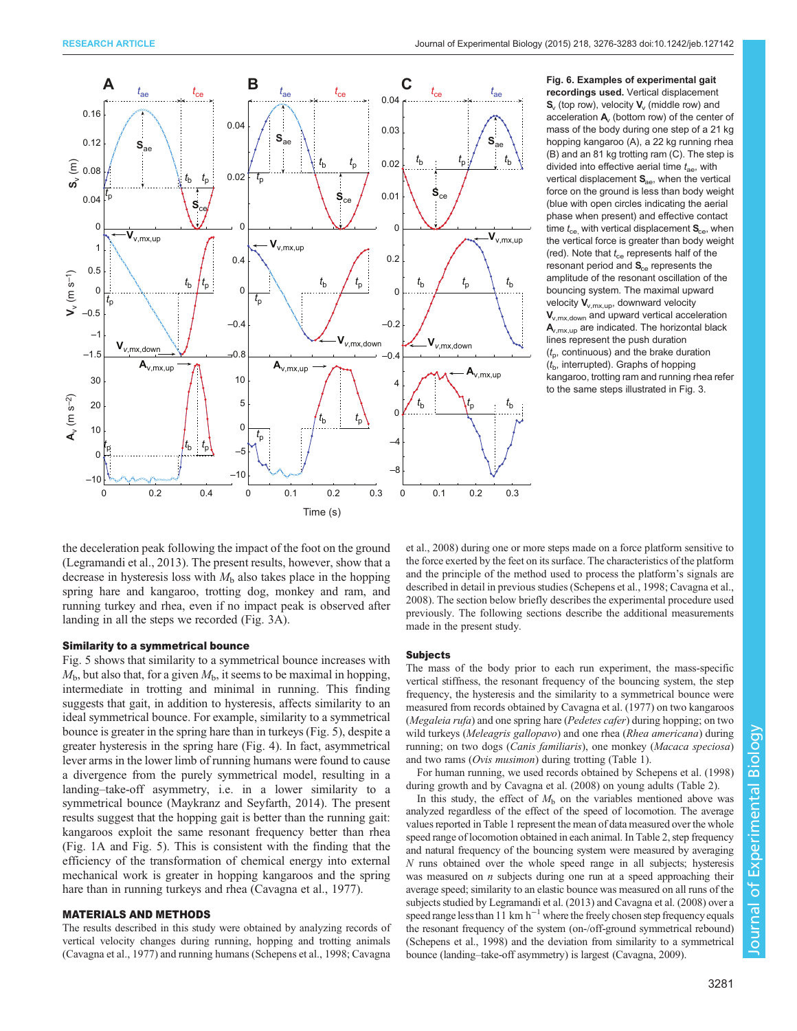<span id="page-5-0"></span>

recordings used. Vertical displacement  $S_{v}$  (top row), velocity  $V_{v}$  (middle row) and acceleration  $A$ , (bottom row) of the center of mass of the body during one step of a 21 kg hopping kangaroo (A), a 22 kg running rhea (B) and an 81 kg trotting ram (C). The step is divided into effective aerial time  $t_{\text{ae}}$ , with vertical displacement  $S_{\text{aa}}$ , when the vertical force on the ground is less than body weight (blue with open circles indicating the aerial phase when present) and effective contact time  $t_{ce}$ , with vertical displacement  $S_{ce}$ , when the vertical force is greater than body weight (red). Note that  $t_{\rm ce}$  represents half of the  $r$ esonant period and  $S_{ce}$  represents the amplitude of the resonant oscillation of the bouncing system. The maximal upward velocity  $V_{v,mx,up}$ , downward velocity  $V_{v,mx,down}$  and upward vertical acceleration  $A_{v,mx,up}$  are indicated. The horizontal black lines represent the push duration  $(t_{\rm p}$ , continuous) and the brake duration  $(t<sub>b</sub>$ , interrupted). Graphs of hopping kangaroo, trotting ram and running rhea refer to the same steps illustrated in [Fig. 3.](#page-3-0)

the deceleration peak following the impact of the foot on the ground [\(Legramandi et al., 2013\)](#page-7-0). The present results, however, show that a decrease in hysteresis loss with  $M<sub>b</sub>$  also takes place in the hopping spring hare and kangaroo, trotting dog, monkey and ram, and running turkey and rhea, even if no impact peak is observed after landing in all the steps we recorded [\(Fig. 3A](#page-3-0)).

## Similarity to a symmetrical bounce

[Fig. 5](#page-4-0) shows that similarity to a symmetrical bounce increases with  $M<sub>b</sub>$ , but also that, for a given  $M<sub>b</sub>$ , it seems to be maximal in hopping, intermediate in trotting and minimal in running. This finding suggests that gait, in addition to hysteresis, affects similarity to an ideal symmetrical bounce. For example, similarity to a symmetrical bounce is greater in the spring hare than in turkeys [\(Fig. 5\)](#page-4-0), despite a greater hysteresis in the spring hare ([Fig. 4\)](#page-4-0). In fact, asymmetrical lever arms in the lower limb of running humans were found to cause a divergence from the purely symmetrical model, resulting in a landing–take-off asymmetry, i.e. in a lower similarity to a symmetrical bounce [\(Maykranz and Seyfarth, 2014](#page-7-0)). The present results suggest that the hopping gait is better than the running gait: kangaroos exploit the same resonant frequency better than rhea [\(Fig. 1](#page-1-0)A and [Fig. 5](#page-4-0)). This is consistent with the finding that the efficiency of the transformation of chemical energy into external mechanical work is greater in hopping kangaroos and the spring hare than in running turkeys and rhea ([Cavagna et al., 1977\)](#page-7-0).

## MATERIALS AND METHODS

The results described in this study were obtained by analyzing records of vertical velocity changes during running, hopping and trotting animals ([Cavagna et al., 1977\)](#page-7-0) and running humans [\(Schepens et al., 1998; Cavagna](#page-7-0)

[et al., 2008](#page-7-0)) during one or more steps made on a force platform sensitive to the force exerted by the feet on its surface. The characteristics of the platform and the principle of the method used to process the platform's signals are described in detail in previous studies ([Schepens et al., 1998; Cavagna et al.,](#page-7-0) [2008\)](#page-7-0). The section below briefly describes the experimental procedure used previously. The following sections describe the additional measurements made in the present study.

#### Subjects

The mass of the body prior to each run experiment, the mass-specific vertical stiffness, the resonant frequency of the bouncing system, the step frequency, the hysteresis and the similarity to a symmetrical bounce were measured from records obtained by [Cavagna et al. \(1977\)](#page-7-0) on two kangaroos (Megaleia rufa) and one spring hare (Pedetes cafer) during hopping; on two wild turkeys (Meleagris gallopavo) and one rhea (Rhea americana) during running; on two dogs (Canis familiaris), one monkey (Macaca speciosa) and two rams (Ovis musimon) during trotting [\(Table 1\)](#page-1-0).

For human running, we used records obtained by [Schepens et al. \(1998\)](#page-7-0) during growth and by [Cavagna et al. \(2008\)](#page-7-0) on young adults ([Table 2\)](#page-2-0).

In this study, the effect of  $M<sub>b</sub>$  on the variables mentioned above was analyzed regardless of the effect of the speed of locomotion. The average values reported in [Table 1](#page-1-0) represent the mean of data measured over the whole speed range of locomotion obtained in each animal. In [Table 2](#page-2-0), step frequency and natural frequency of the bouncing system were measured by averaging N runs obtained over the whole speed range in all subjects; hysteresis was measured on  $n$  subjects during one run at a speed approaching their average speed; similarity to an elastic bounce was measured on all runs of the subjects studied by [Legramandi et al. \(2013\)](#page-7-0) and [Cavagna et al. \(2008\)](#page-7-0) over a speed range less than 11 km h<sup>-1</sup> where the freely chosen step frequency equals the resonant frequency of the system (on-/off-ground symmetrical rebound) ([Schepens et al., 1998](#page-7-0)) and the deviation from similarity to a symmetrical bounce (landing–take-off asymmetry) is largest [\(Cavagna, 2009\)](#page-7-0).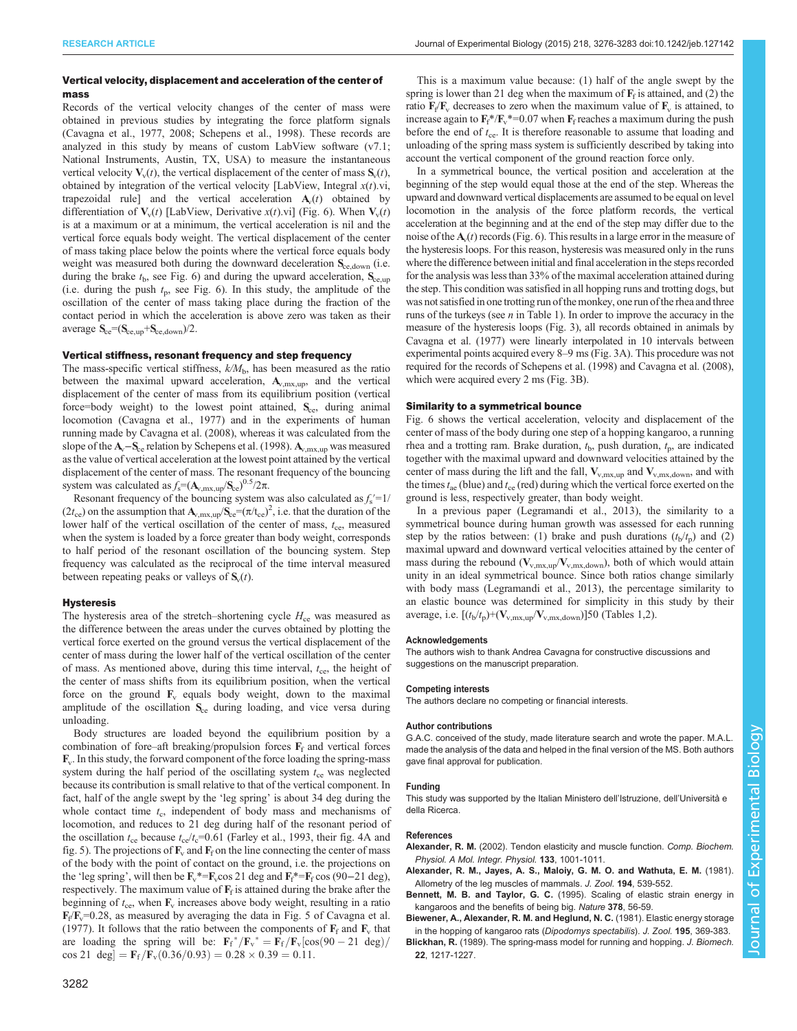#### <span id="page-6-0"></span>RESEARCH ARTICLE **ARTICLE** ARTICLE ARTICLE **Journal of Experimental Biology (2015)** 218, 3276-3283 doi:10.1242/jeb.127142

## Vertical velocity, displacement and acceleration of the center of mass

Records of the vertical velocity changes of the center of mass were obtained in previous studies by integrating the force platform signals ([Cavagna et al., 1977, 2008](#page-7-0); [Schepens et al., 1998](#page-7-0)). These records are analyzed in this study by means of custom LabView software (v7.1; National Instruments, Austin, TX, USA) to measure the instantaneous vertical velocity  $V_v(t)$ , the vertical displacement of the center of mass  $S_v(t)$ , obtained by integration of the vertical velocity [LabView, Integral  $x(t)$ .vi, trapezoidal rule] and the vertical acceleration  $A<sub>v</sub>(t)$  obtained by differentiation of  $V_v(t)$  [LabView, Derivative x(t).vi] [\(Fig. 6\)](#page-5-0). When  $V_v(t)$ is at a maximum or at a minimum, the vertical acceleration is nil and the vertical force equals body weight. The vertical displacement of the center of mass taking place below the points where the vertical force equals body weight was measured both during the downward deceleration S<sub>ce,down</sub> (i.e. during the brake  $t<sub>b</sub>$ , see [Fig. 6](#page-5-0)) and during the upward acceleration,  $S_{ce,up}$ (i.e. during the push  $t_p$ , see [Fig. 6](#page-5-0)). In this study, the amplitude of the oscillation of the center of mass taking place during the fraction of the contact period in which the acceleration is above zero was taken as their average  $S_{ce} = (S_{ce,up} + S_{ce,down})/2$ .

## Vertical stiffness, resonant frequency and step frequency

The mass-specific vertical stiffness,  $k/M<sub>b</sub>$ , has been measured as the ratio between the maximal upward acceleration,  $A_{v,mx,up}$ , and the vertical displacement of the center of mass from its equilibrium position (vertical force=body weight) to the lowest point attained,  $S_{ce}$ , during animal locomotion ([Cavagna et al., 1977](#page-7-0)) and in the experiments of human running made by [Cavagna et al. \(2008\),](#page-7-0) whereas it was calculated from the slope of the  $A_v-S_{ce}$  relation by [Schepens et al. \(1998\).](#page-7-0)  $A_{v,mx,up}$  was measured as the value of vertical acceleration at the lowest point attained by the vertical displacement of the center of mass. The resonant frequency of the bouncing system was calculated as  $f_s = (A_{v,\text{mx,up}}/S_{ce})^{0.5}/2\pi$ .

Resonant frequency of the bouncing system was also calculated as  $f_s' = 1/$ ( $2t_{\rm ce}$ ) on the assumption that  ${\bf A}_{v,\rm mx,up}/{\bf S}_{\rm ce} = (\pi/t_{\rm ce})^2$ , i.e. that the duration of the lower half of the vertical oscillation of the center of mass,  $t_{ce}$ , measured when the system is loaded by a force greater than body weight, corresponds to half period of the resonant oscillation of the bouncing system. Step frequency was calculated as the reciprocal of the time interval measured between repeating peaks or valleys of  $S_v(t)$ .

#### **Hysteresis**

The hysteresis area of the stretch–shortening cycle  $H_{ce}$  was measured as the difference between the areas under the curves obtained by plotting the vertical force exerted on the ground versus the vertical displacement of the center of mass during the lower half of the vertical oscillation of the center of mass. As mentioned above, during this time interval,  $t_{\text{ce}}$ , the height of the center of mass shifts from its equilibrium position, when the vertical force on the ground  $\mathbf{F}_v$  equals body weight, down to the maximal amplitude of the oscillation  $S_{ce}$  during loading, and vice versa during unloading.

Body structures are loaded beyond the equilibrium position by a combination of fore–aft breaking/propulsion forces  $\mathbf{F}_f$  and vertical forces  $\mathbf{F}_v$ . In this study, the forward component of the force loading the spring-mass system during the half period of the oscillating system  $t_{ce}$  was neglected because its contribution is small relative to that of the vertical component. In fact, half of the angle swept by the 'leg spring' is about 34 deg during the whole contact time  $t_c$ , independent of body mass and mechanisms of locomotion, and reduces to 21 deg during half of the resonant period of the oscillation  $t_{ce}$  because  $t_{ce}/t_c=0.61$  [\(Farley et al., 1993,](#page-7-0) their fig. 4A and fig. 5). The projections of  $\mathbf{F}_v$  and  $\mathbf{F}_f$  on the line connecting the center of mass of the body with the point of contact on the ground, i.e. the projections on the 'leg spring', will then be  $\mathbf{F}_v^* = \mathbf{F}_v \cos 21$  deg and  $\mathbf{F}_f^* = \mathbf{F}_f \cos (90 - 21 \text{ deg})$ , respectively. The maximum value of  $\mathbf{F}_f$  is attained during the brake after the beginning of  $t_{\text{ce}}$ , when  $\mathbf{F}_{\text{v}}$  increases above body weight, resulting in a ratio  $F_f/F_v=0.28$ , as measured by averaging the data in Fig. 5 of [Cavagna et al.](#page-7-0) [\(1977\)](#page-7-0). It follows that the ratio between the components of  $\mathbf{F}_f$  and  $\mathbf{F}_v$  that are loading the spring will be:  $\mathbf{F_f}^* / \mathbf{F_v}^* = \mathbf{F_f} / \mathbf{F_v} [\cos(90 - 21 \text{ deg})]$ cos 21 deg $=$   $\mathbf{F}_{\rm f}$   $/\mathbf{F}_{\rm v}$ (0.36/0.93)  $=$  0.28  $\times$  0.39  $=$  0.11.

This is a maximum value because: (1) half of the angle swept by the spring is lower than 21 deg when the maximum of  $\mathbf{F}_f$  is attained, and (2) the ratio  $\mathbf{F}_f/\mathbf{F}_v$  decreases to zero when the maximum value of  $\mathbf{F}_v$  is attained, to increase again to  $\mathbf{F}_f^* / \mathbf{F}_v^* = 0.07$  when  $\mathbf{F}_f$  reaches a maximum during the push before the end of  $t_{ce}$ . It is therefore reasonable to assume that loading and unloading of the spring mass system is sufficiently described by taking into account the vertical component of the ground reaction force only.

In a symmetrical bounce, the vertical position and acceleration at the beginning of the step would equal those at the end of the step. Whereas the upward and downward vertical displacements are assumed to be equal on level locomotion in the analysis of the force platform records, the vertical acceleration at the beginning and at the end of the step may differ due to the noise of the  $A<sub>v</sub>(t)$  records ([Fig. 6](#page-5-0)). This results in a large error in the measure of the hysteresis loops. For this reason, hysteresis was measured only in the runs where the difference between initial and final acceleration in the steps recorded for the analysis was less than 33% of the maximal acceleration attained during the step. This condition was satisfied in all hopping runs and trotting dogs, but was not satisfied in one trotting run of the monkey, one run of the rhea and three runs of the turkeys (see  $n$  in [Table 1\)](#page-1-0). In order to improve the accuracy in the measure of the hysteresis loops [\(Fig. 3](#page-3-0)), all records obtained in animals by [Cavagna et al. \(1977\)](#page-7-0) were linearly interpolated in 10 intervals between experimental points acquired every 8–9 ms ([Fig. 3A](#page-3-0)). This procedure was not required for the records of [Schepens et al. \(1998\)](#page-7-0) and [Cavagna et al. \(2008\),](#page-7-0) which were acquired every 2 ms [\(Fig. 3](#page-3-0)B).

#### Similarity to a symmetrical bounce

[Fig. 6](#page-5-0) shows the vertical acceleration, velocity and displacement of the center of mass of the body during one step of a hopping kangaroo, a running rhea and a trotting ram. Brake duration,  $t<sub>b</sub>$ , push duration,  $t<sub>b</sub>$ , are indicated together with the maximal upward and downward velocities attained by the center of mass during the lift and the fall,  $V_{v,mx,up}$  and  $V_{v,mx,down}$ , and with the times  $t_{ae}$  (blue) and  $t_{ce}$  (red) during which the vertical force exerted on the ground is less, respectively greater, than body weight.

In a previous paper [\(Legramandi et al., 2013\)](#page-7-0), the similarity to a symmetrical bounce during human growth was assessed for each running step by the ratios between: (1) brake and push durations  $(t<sub>b</sub>/t<sub>p</sub>)$  and (2) maximal upward and downward vertical velocities attained by the center of mass during the rebound ( $V_{v,mx,up}/V_{v,mx,down}$ ), both of which would attain unity in an ideal symmetrical bounce. Since both ratios change similarly with body mass ([Legramandi et al., 2013](#page-7-0)), the percentage similarity to an elastic bounce was determined for simplicity in this study by their average, i.e.  $[(t_b/t_p)+(V_{v,\text{mx,up}}/V_{v,\text{mx,down}})]$ 50 [\(Tables 1,](#page-1-0)2).

#### Acknowledgements

The authors wish to thank Andrea Cavagna for constructive discussions and suggestions on the manuscript preparation.

#### Competing interests

The authors declare no competing or financial interests.

#### Author contributions

G.A.C. conceived of the study, made literature search and wrote the paper. M.A.L. made the analysis of the data and helped in the final version of the MS. Both authors gave final approval for publication.

#### Funding

This study was supported by the Italian Ministero dell'Istruzione, dell'Università e della Ricerca.

#### References

- Alexander, R. M. [\(2002\). Tendon elasticity and muscle function.](http://dx.doi.org/10.1016/S1095-6433(02)00143-5) Comp. Biochem. [Physiol. A Mol. Integr. Physiol.](http://dx.doi.org/10.1016/S1095-6433(02)00143-5) 133, 1001-1011.
- [Alexander, R. M., Jayes, A. S., Maloiy, G. M. O. and Wathuta, E. M.](http://dx.doi.org/10.1111/j.1469-7998.1981.tb04600.x) (1981). [Allometry of the leg muscles of mammals.](http://dx.doi.org/10.1111/j.1469-7998.1981.tb04600.x) J. Zool. 194, 539-552.
- Bennett, M. B. and Taylor, G. C. [\(1995\). Scaling of elastic strain energy in](http://dx.doi.org/10.1038/378056a0) [kangaroos and the benefits of being big.](http://dx.doi.org/10.1038/378056a0) Nature 378, 56-59.

[Biewener, A., Alexander, R. M. and Heglund, N. C.](http://dx.doi.org/10.1111/j.1469-7998.1981.tb03471.x) (1981). Elastic energy storage [in the hopping of kangaroo rats \(](http://dx.doi.org/10.1111/j.1469-7998.1981.tb03471.x)Dipodomys spectabilis). J. Zool. 195, 369-383.

Blickhan, R. [\(1989\). The spring-mass model for running and hopping.](http://dx.doi.org/10.1016/0021-9290(89)90224-8) J. Biomech. 22[, 1217-1227.](http://dx.doi.org/10.1016/0021-9290(89)90224-8)